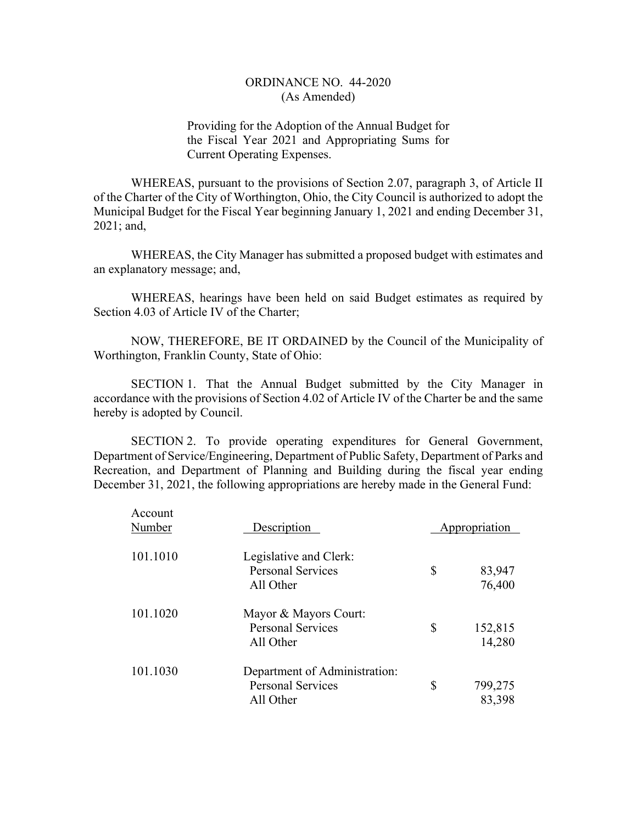Providing for the Adoption of the Annual Budget for the Fiscal Year 2021 and Appropriating Sums for Current Operating Expenses.

WHEREAS, pursuant to the provisions of Section 2.07, paragraph 3, of Article II of the Charter of the City of Worthington, Ohio, the City Council is authorized to adopt the Municipal Budget for the Fiscal Year beginning January 1, 2021 and ending December 31, 2021; and,

WHEREAS, the City Manager has submitted a proposed budget with estimates and an explanatory message; and,

WHEREAS, hearings have been held on said Budget estimates as required by Section 4.03 of Article IV of the Charter;

NOW, THEREFORE, BE IT ORDAINED by the Council of the Municipality of Worthington, Franklin County, State of Ohio:

SECTION 1. That the Annual Budget submitted by the City Manager in accordance with the provisions of Section 4.02 of Article IV of the Charter be and the same hereby is adopted by Council.

SECTION 2. To provide operating expenditures for General Government, Department of Service/Engineering, Department of Public Safety, Department of Parks and Recreation, and Department of Planning and Building during the fiscal year ending December 31, 2021, the following appropriations are hereby made in the General Fund:

| Account<br>Number | Description                                                            | Appropriation           |
|-------------------|------------------------------------------------------------------------|-------------------------|
| 101.1010          | Legislative and Clerk:<br><b>Personal Services</b><br>All Other        | \$<br>83,947<br>76,400  |
| 101.1020          | Mayor & Mayors Court:<br><b>Personal Services</b><br>All Other         | \$<br>152,815<br>14,280 |
| 101.1030          | Department of Administration:<br><b>Personal Services</b><br>All Other | \$<br>799,275<br>83,398 |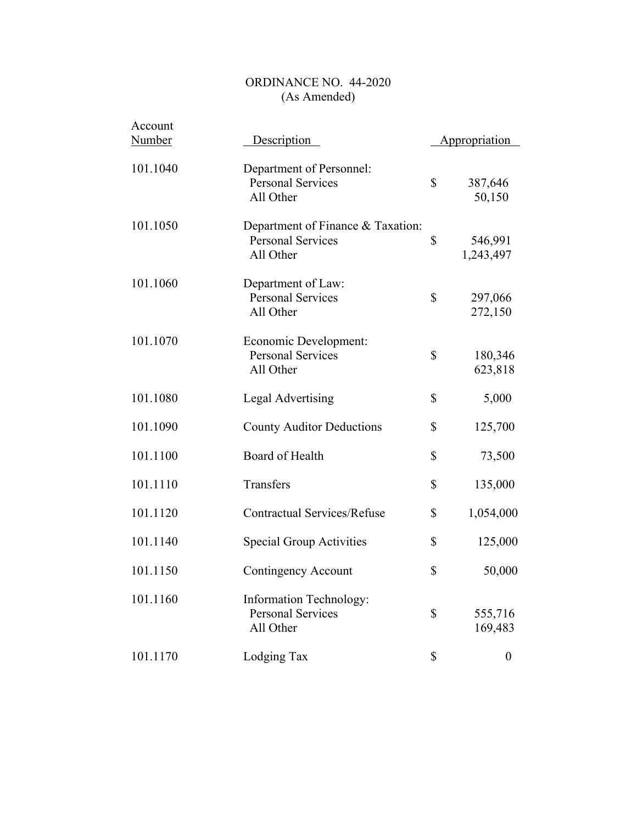| Account       |                                                                            |                            |
|---------------|----------------------------------------------------------------------------|----------------------------|
| <b>Number</b> | Description                                                                | Appropriation              |
| 101.1040      | Department of Personnel:<br><b>Personal Services</b><br>All Other          | \$<br>387,646<br>50,150    |
| 101.1050      | Department of Finance & Taxation:<br><b>Personal Services</b><br>All Other | \$<br>546,991<br>1,243,497 |
| 101.1060      | Department of Law:<br><b>Personal Services</b><br>All Other                | \$<br>297,066<br>272,150   |
| 101.1070      | Economic Development:<br><b>Personal Services</b><br>All Other             | \$<br>180,346<br>623,818   |
| 101.1080      | Legal Advertising                                                          | \$<br>5,000                |
| 101.1090      | <b>County Auditor Deductions</b>                                           | \$<br>125,700              |
| 101.1100      | Board of Health                                                            | \$<br>73,500               |
| 101.1110      | Transfers                                                                  | \$<br>135,000              |
| 101.1120      | <b>Contractual Services/Refuse</b>                                         | \$<br>1,054,000            |
| 101.1140      | Special Group Activities                                                   | \$<br>125,000              |
| 101.1150      | Contingency Account                                                        | \$<br>50,000               |
| 101.1160      | <b>Information Technology:</b><br><b>Personal Services</b><br>All Other    | \$<br>555,716<br>169,483   |
| 101.1170      | Lodging Tax                                                                | \$<br>$\boldsymbol{0}$     |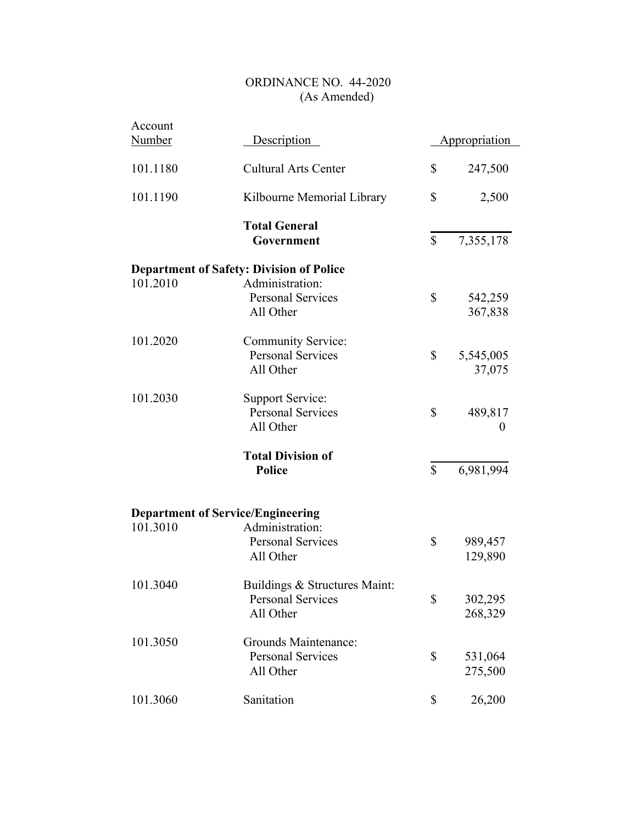| Account<br><b>Number</b> | Description                                                            |              | Appropriation       |
|--------------------------|------------------------------------------------------------------------|--------------|---------------------|
| 101.1180                 | <b>Cultural Arts Center</b>                                            | \$           | 247,500             |
| 101.1190                 | Kilbourne Memorial Library                                             | \$           | 2,500               |
|                          | <b>Total General</b><br>Government                                     | \$           | 7,355,178           |
|                          | <b>Department of Safety: Division of Police</b>                        |              |                     |
| 101.2010                 | Administration:<br><b>Personal Services</b><br>All Other               | \$           | 542,259<br>367,838  |
| 101.2020                 | Community Service:<br><b>Personal Services</b><br>All Other            | $\mathbb{S}$ | 5,545,005<br>37,075 |
| 101.2030                 | <b>Support Service:</b><br><b>Personal Services</b><br>All Other       | $\mathbb{S}$ | 489,817<br>$\theta$ |
|                          | <b>Total Division of</b><br><b>Police</b>                              | $\mathbb{S}$ | 6,981,994           |
|                          | <b>Department of Service/Engineering</b>                               |              |                     |
| 101.3010                 | Administration:<br><b>Personal Services</b><br>All Other               | \$           | 989,457<br>129,890  |
| 101.3040                 | Buildings & Structures Maint:<br><b>Personal Services</b><br>All Other | \$           | 302,295<br>268,329  |
| 101.3050                 | <b>Grounds Maintenance:</b><br><b>Personal Services</b><br>All Other   | \$           | 531,064<br>275,500  |
| 101.3060                 | Sanitation                                                             | \$           | 26,200              |
|                          |                                                                        |              |                     |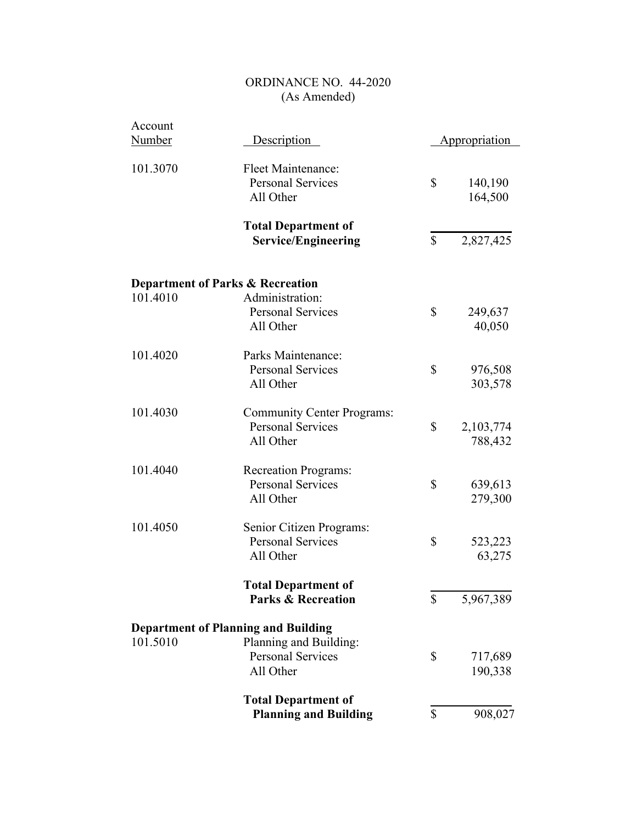| Account<br><b>Number</b>                    | Description                                                                |              | Appropriation        |
|---------------------------------------------|----------------------------------------------------------------------------|--------------|----------------------|
| 101.3070                                    | Fleet Maintenance:<br><b>Personal Services</b><br>All Other                | \$           | 140,190<br>164,500   |
|                                             | <b>Total Department of</b><br><b>Service/Engineering</b>                   | \$           | 2,827,425            |
| <b>Department of Parks &amp; Recreation</b> |                                                                            |              |                      |
| 101.4010                                    | Administration:<br><b>Personal Services</b><br>All Other                   | \$           | 249,637<br>40,050    |
| 101.4020                                    | Parks Maintenance:<br><b>Personal Services</b><br>All Other                | \$           | 976,508<br>303,578   |
| 101.4030                                    | <b>Community Center Programs:</b><br><b>Personal Services</b><br>All Other | \$           | 2,103,774<br>788,432 |
| 101.4040                                    | <b>Recreation Programs:</b><br><b>Personal Services</b><br>All Other       | \$           | 639,613<br>279,300   |
| 101.4050                                    | Senior Citizen Programs:<br><b>Personal Services</b><br>All Other          | \$           | 523,223<br>63,275    |
|                                             | <b>Total Department of</b><br><b>Parks &amp; Recreation</b>                | $\mathbb{S}$ | 5,967,389            |
|                                             | <b>Department of Planning and Building</b>                                 |              |                      |
| 101.5010                                    | Planning and Building:<br><b>Personal Services</b><br>All Other            | \$           | 717,689<br>190,338   |
|                                             | <b>Total Department of</b><br><b>Planning and Building</b>                 | \$           | 908,027              |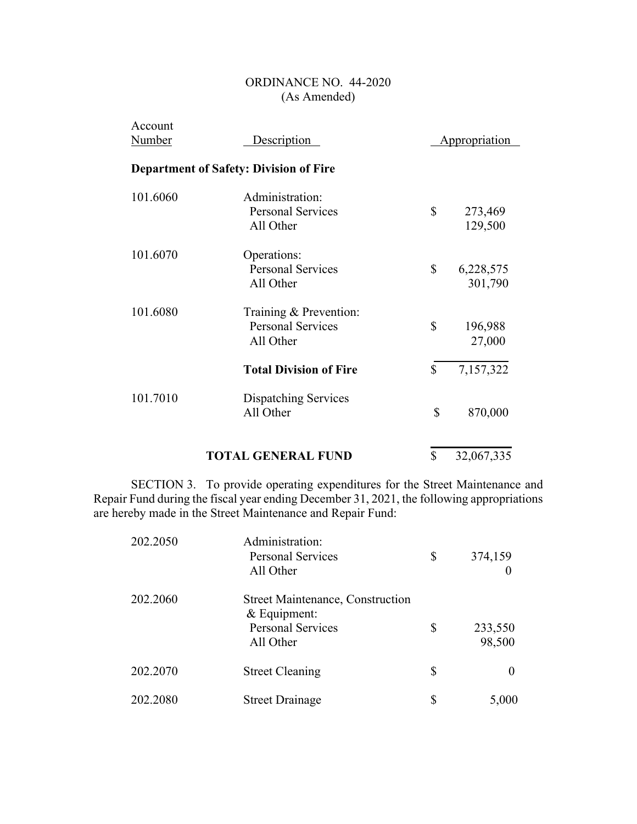| Account<br><u>Number</u>                      | Description                                                     |    | <b>Appropriation</b> |
|-----------------------------------------------|-----------------------------------------------------------------|----|----------------------|
| <b>Department of Safety: Division of Fire</b> |                                                                 |    |                      |
| 101.6060                                      | Administration:<br><b>Personal Services</b><br>All Other        | \$ | 273,469<br>129,500   |
| 101.6070                                      | Operations:<br><b>Personal Services</b><br>All Other            | \$ | 6,228,575<br>301,790 |
| 101.6080                                      | Training & Prevention:<br><b>Personal Services</b><br>All Other | \$ | 196,988<br>27,000    |
|                                               | <b>Total Division of Fire</b>                                   | \$ | 7,157,322            |
| 101.7010                                      | Dispatching Services<br>All Other                               | \$ | 870,000              |
|                                               |                                                                 |    |                      |

# **TOTAL GENERAL FUND**  $\overline{$}$  32,067,335

SECTION 3. To provide operating expenditures for the Street Maintenance and Repair Fund during the fiscal year ending December 31, 2021, the following appropriations are hereby made in the Street Maintenance and Repair Fund:

| 202.2050 | Administration:<br><b>Personal Services</b><br>All Other                                           | \$<br>374,159           |
|----------|----------------------------------------------------------------------------------------------------|-------------------------|
| 202.2060 | <b>Street Maintenance, Construction</b><br>$&$ Equipment:<br><b>Personal Services</b><br>All Other | \$<br>233,550<br>98,500 |
| 202.2070 | <b>Street Cleaning</b>                                                                             | \$                      |
| 202.2080 | <b>Street Drainage</b>                                                                             | \$<br>5,000             |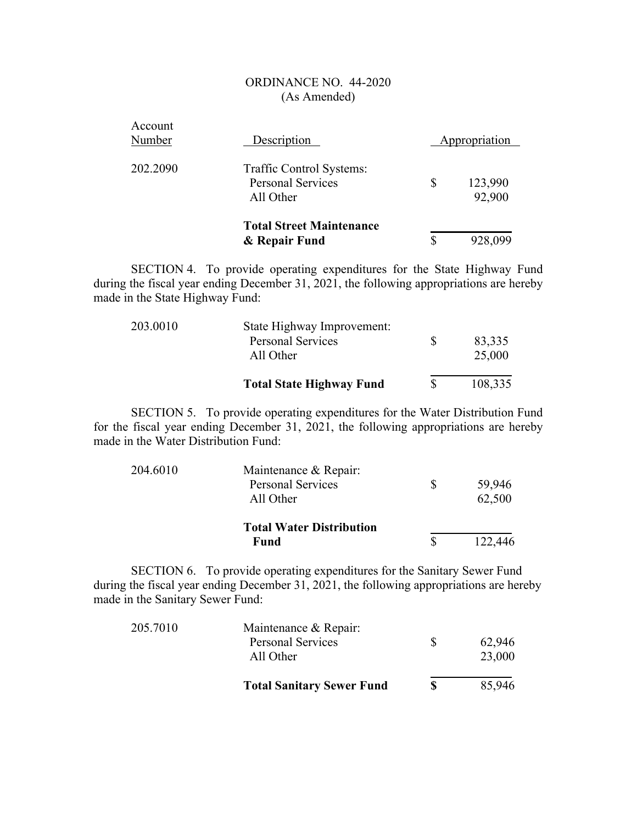| Account<br>Number | Description                                                       | Appropriation           |
|-------------------|-------------------------------------------------------------------|-------------------------|
| 202.2090          | Traffic Control Systems:<br><b>Personal Services</b><br>All Other | \$<br>123,990<br>92,900 |
|                   | <b>Total Street Maintenance</b><br>& Repair Fund                  | \$<br>928,099           |

SECTION 4. To provide operating expenditures for the State Highway Fund during the fiscal year ending December 31, 2021, the following appropriations are hereby made in the State Highway Fund:

| 203.0010 | State Highway Improvement:<br><b>Personal Services</b><br>All Other | 83,335<br>25,000 |
|----------|---------------------------------------------------------------------|------------------|
|          | <b>Total State Highway Fund</b>                                     | 108,335          |

SECTION 5. To provide operating expenditures for the Water Distribution Fund for the fiscal year ending December 31, 2021, the following appropriations are hereby made in the Water Distribution Fund:

| 204.6010 | Maintenance & Repair:           |              |         |
|----------|---------------------------------|--------------|---------|
|          | <b>Personal Services</b>        | <sup>S</sup> | 59,946  |
|          | All Other                       |              | 62,500  |
|          | <b>Total Water Distribution</b> |              |         |
|          | <b>Fund</b>                     |              | 122,446 |

SECTION 6. To provide operating expenditures for the Sanitary Sewer Fund during the fiscal year ending December 31, 2021, the following appropriations are hereby made in the Sanitary Sewer Fund:

| 205.7010 | Maintenance & Repair:            |              |        |
|----------|----------------------------------|--------------|--------|
|          | <b>Personal Services</b>         | <sup>8</sup> | 62,946 |
|          | All Other                        |              | 23,000 |
|          | <b>Total Sanitary Sewer Fund</b> | S            | 85,946 |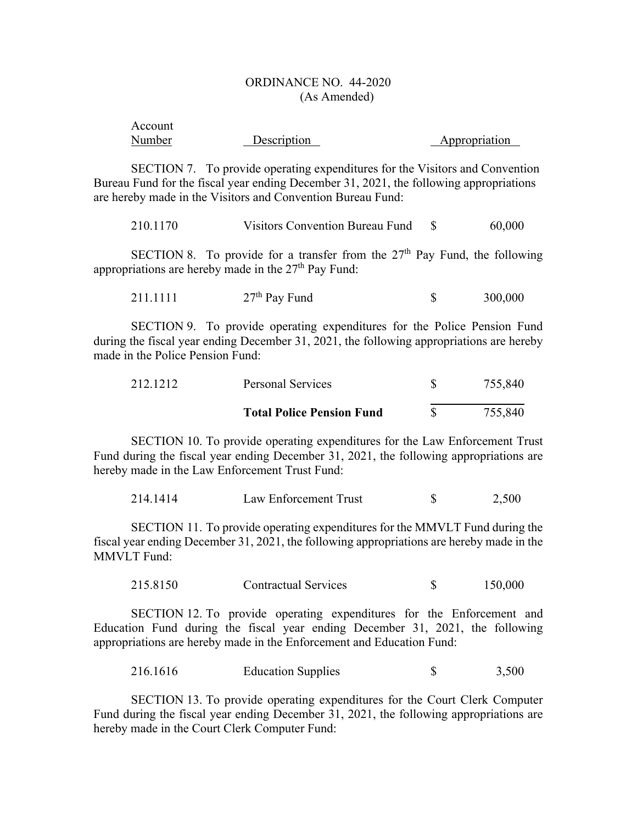| Account |             |               |
|---------|-------------|---------------|
| Number  | Description | Appropriation |

SECTION 7. To provide operating expenditures for the Visitors and Convention Bureau Fund for the fiscal year ending December 31, 2021, the following appropriations are hereby made in the Visitors and Convention Bureau Fund:

| 210.1170 | Visitors Convention Bureau Fund |  | 60,000 |
|----------|---------------------------------|--|--------|
|----------|---------------------------------|--|--------|

SECTION 8. To provide for a transfer from the  $27<sup>th</sup>$  Pay Fund, the following appropriations are hereby made in the  $27<sup>th</sup>$  Pay Fund:

| 211.1111 | $27th$ Pay Fund |  | 300,000 |
|----------|-----------------|--|---------|
|----------|-----------------|--|---------|

SECTION 9. To provide operating expenditures for the Police Pension Fund during the fiscal year ending December 31, 2021, the following appropriations are hereby made in the Police Pension Fund:

| 212.1212 | Personal Services                | 755,840 |
|----------|----------------------------------|---------|
|          | <b>Total Police Pension Fund</b> | 755,840 |

SECTION 10. To provide operating expenditures for the Law Enforcement Trust Fund during the fiscal year ending December 31, 2021, the following appropriations are hereby made in the Law Enforcement Trust Fund:

| 214.1414 | Law Enforcement Trust |  | 2.500 |
|----------|-----------------------|--|-------|
|----------|-----------------------|--|-------|

SECTION 11. To provide operating expenditures for the MMVLT Fund during the fiscal year ending December 31, 2021, the following appropriations are hereby made in the MMVLT Fund:

215.8150 Contractual Services \$ 150,000

SECTION 12. To provide operating expenditures for the Enforcement and Education Fund during the fiscal year ending December 31, 2021, the following appropriations are hereby made in the Enforcement and Education Fund:

216.1616 Education Supplies \$ 3,500

SECTION 13. To provide operating expenditures for the Court Clerk Computer Fund during the fiscal year ending December 31, 2021, the following appropriations are hereby made in the Court Clerk Computer Fund: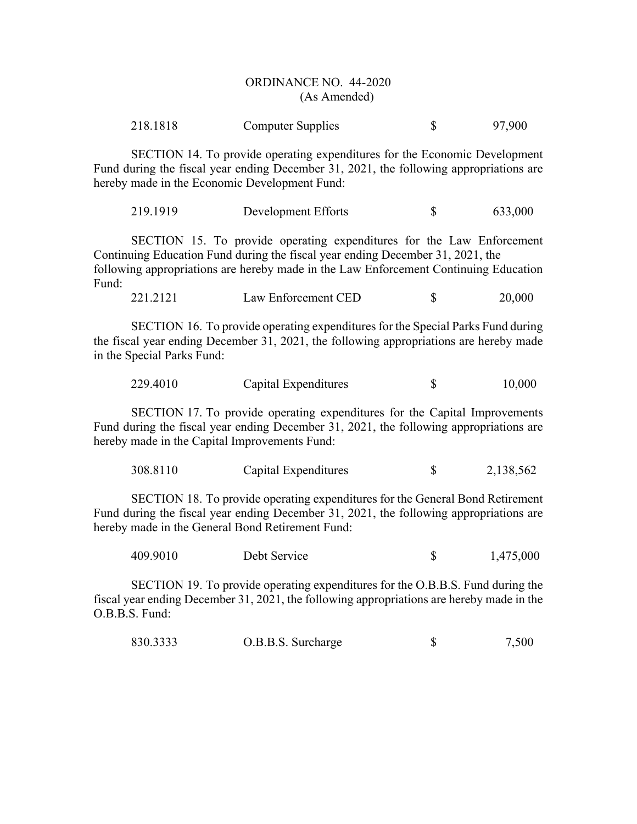| 218.1818 | Computer Supplies |  | 97,900 |
|----------|-------------------|--|--------|
|----------|-------------------|--|--------|

SECTION 14. To provide operating expenditures for the Economic Development Fund during the fiscal year ending December 31, 2021, the following appropriations are hereby made in the Economic Development Fund:

219.1919 Development Efforts \$ 633,000

SECTION 15. To provide operating expenditures for the Law Enforcement Continuing Education Fund during the fiscal year ending December 31, 2021, the following appropriations are hereby made in the Law Enforcement Continuing Education Fund:

221.2121 Law Enforcement CED \$ 20,000

SECTION 16. To provide operating expenditures for the Special Parks Fund during the fiscal year ending December 31, 2021, the following appropriations are hereby made in the Special Parks Fund:

| 229.4010 | Capital Expenditures | 10,000 |
|----------|----------------------|--------|
|          |                      |        |

SECTION 17. To provide operating expenditures for the Capital Improvements Fund during the fiscal year ending December 31, 2021, the following appropriations are hereby made in the Capital Improvements Fund:

| 308.8110 | Capital Expenditures |  | 2,138,562 |
|----------|----------------------|--|-----------|
|----------|----------------------|--|-----------|

SECTION 18. To provide operating expenditures for the General Bond Retirement Fund during the fiscal year ending December 31, 2021, the following appropriations are hereby made in the General Bond Retirement Fund:

| 409.9010 | Debt Service |  | 1,475,000 |
|----------|--------------|--|-----------|
|----------|--------------|--|-----------|

SECTION 19. To provide operating expenditures for the O.B.B.S. Fund during the fiscal year ending December 31, 2021, the following appropriations are hereby made in the O.B.B.S. Fund:

| 830.3333 | O.B.B.S. Surcharge |  | 7,500 |
|----------|--------------------|--|-------|
|----------|--------------------|--|-------|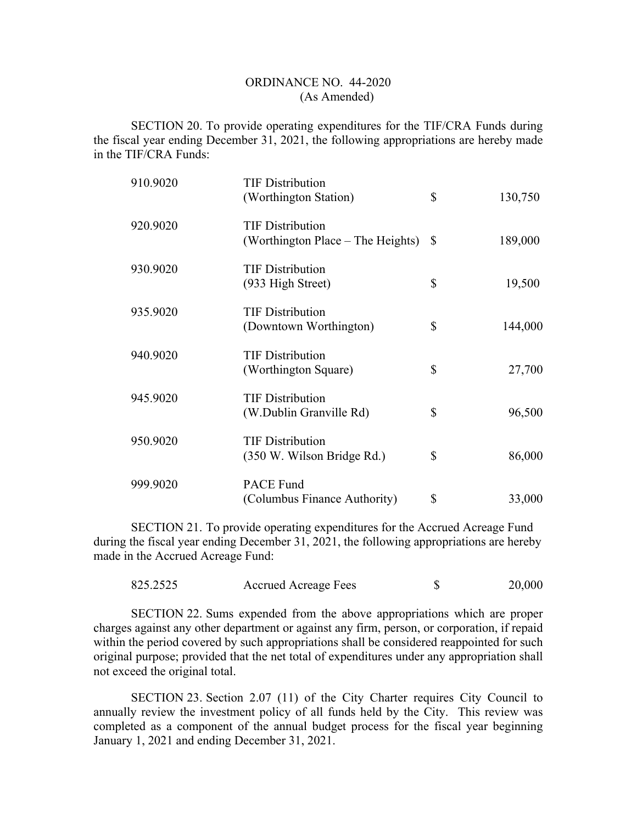SECTION 20. To provide operating expenditures for the TIF/CRA Funds during the fiscal year ending December 31, 2021, the following appropriations are hereby made in the TIF/CRA Funds:

| 910.9020 | <b>TIF Distribution</b><br>(Worthington Station)             | \$ | 130,750 |
|----------|--------------------------------------------------------------|----|---------|
| 920.9020 | <b>TIF Distribution</b><br>(Worthington Place – The Heights) | S  | 189,000 |
| 930.9020 | <b>TIF Distribution</b><br>(933 High Street)                 | \$ | 19,500  |
| 935.9020 | <b>TIF Distribution</b><br>(Downtown Worthington)            | \$ | 144,000 |
| 940.9020 | <b>TIF Distribution</b><br>(Worthington Square)              | \$ | 27,700  |
| 945.9020 | <b>TIF Distribution</b><br>(W.Dublin Granville Rd)           | \$ | 96,500  |
| 950.9020 | <b>TIF Distribution</b><br>(350 W. Wilson Bridge Rd.)        | \$ | 86,000  |
| 999.9020 | <b>PACE Fund</b><br>(Columbus Finance Authority)             | \$ | 33,000  |

SECTION 21. To provide operating expenditures for the Accrued Acreage Fund during the fiscal year ending December 31, 2021, the following appropriations are hereby made in the Accrued Acreage Fund:

| 825.2525 | <b>Accrued Acreage Fees</b> | 20,000 |
|----------|-----------------------------|--------|
|          |                             |        |

SECTION 22. Sums expended from the above appropriations which are proper charges against any other department or against any firm, person, or corporation, if repaid within the period covered by such appropriations shall be considered reappointed for such original purpose; provided that the net total of expenditures under any appropriation shall not exceed the original total.

SECTION 23. Section 2.07 (11) of the City Charter requires City Council to annually review the investment policy of all funds held by the City. This review was completed as a component of the annual budget process for the fiscal year beginning January 1, 2021 and ending December 31, 2021.